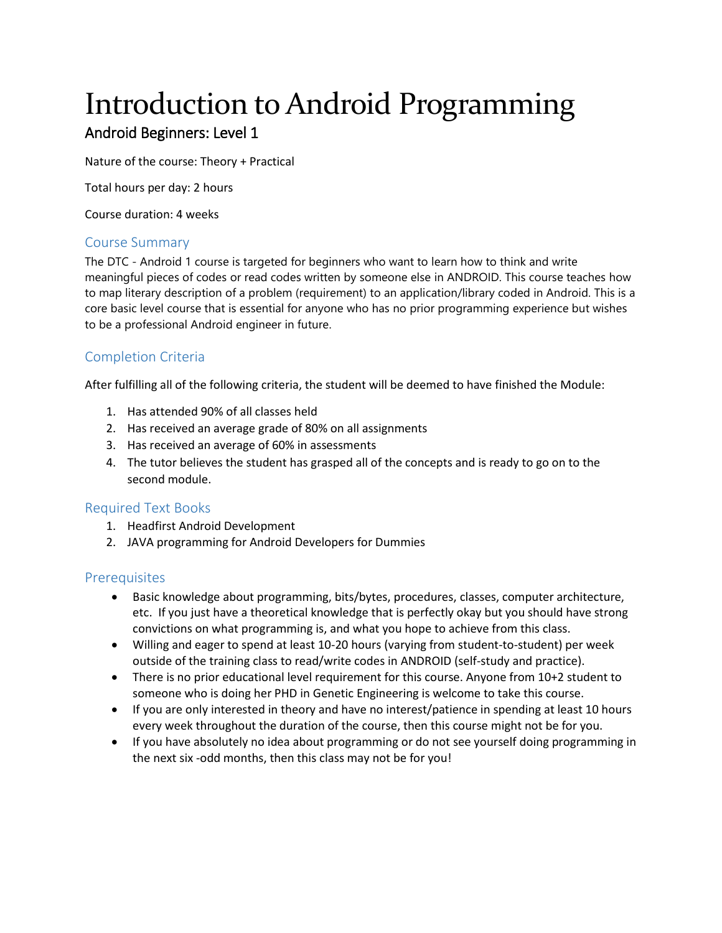# Introduction to Android Programming

# Android Beginners: Level 1

Nature of the course: Theory + Practical

Total hours per day: 2 hours

Course duration: 4 weeks

#### Course Summary

The DTC - Android 1 course is targeted for beginners who want to learn how to think and write meaningful pieces of codes or read codes written by someone else in ANDROID. This course teaches how to map literary description of a problem (requirement) to an application/library coded in Android. This is a core basic level course that is essential for anyone who has no prior programming experience but wishes to be a professional Android engineer in future.

# Completion Criteria

After fulfilling all of the following criteria, the student will be deemed to have finished the Module:

- 1. Has attended 90% of all classes held
- 2. Has received an average grade of 80% on all assignments
- 3. Has received an average of 60% in assessments
- 4. The tutor believes the student has grasped all of the concepts and is ready to go on to the second module.

#### Required Text Books

- 1. Headfirst Android Development
- 2. JAVA programming for Android Developers for Dummies

#### Prerequisites

- Basic knowledge about programming, bits/bytes, procedures, classes, computer architecture, etc. If you just have a theoretical knowledge that is perfectly okay but you should have strong convictions on what programming is, and what you hope to achieve from this class.
- Willing and eager to spend at least 10-20 hours (varying from student-to-student) per week outside of the training class to read/write codes in ANDROID (self-study and practice).
- There is no prior educational level requirement for this course. Anyone from 10+2 student to someone who is doing her PHD in Genetic Engineering is welcome to take this course.
- If you are only interested in theory and have no interest/patience in spending at least 10 hours every week throughout the duration of the course, then this course might not be for you.
- If you have absolutely no idea about programming or do not see yourself doing programming in the next six -odd months, then this class may not be for you!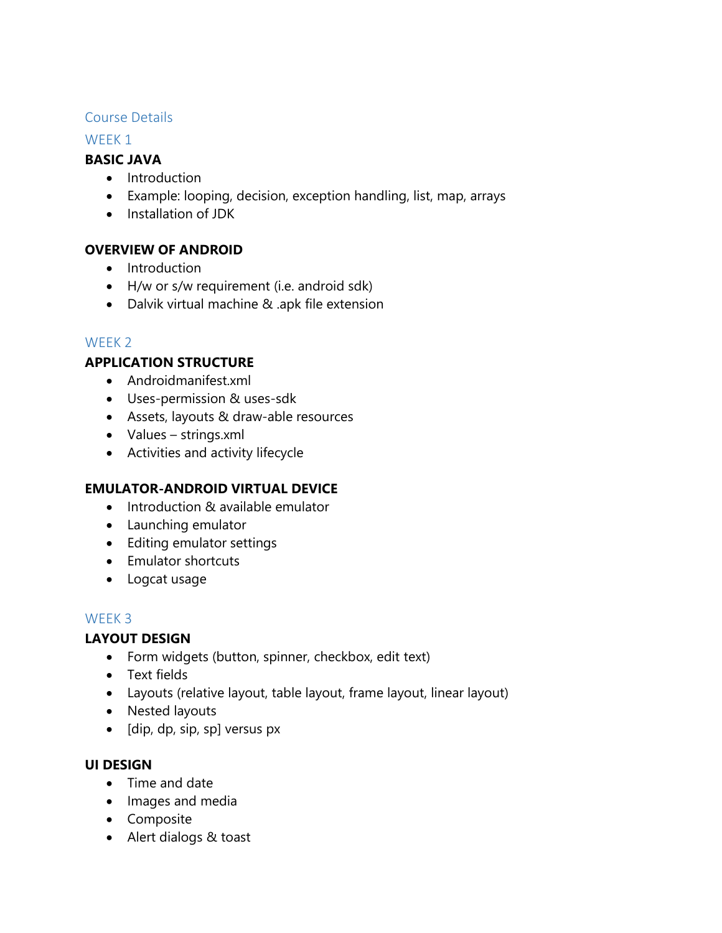### Course Details

# WEEK<sub>1</sub>

# **BASIC JAVA**

- Introduction
- Example: looping, decision, exception handling, list, map, arrays
- Installation of JDK

# **OVERVIEW OF ANDROID**

- Introduction
- H/w or s/w requirement (i.e. android sdk)
- Dalvik virtual machine & .apk file extension

# WFFK<sub>2</sub>

# **APPLICATION STRUCTURE**

- Androidmanifest.xml
- Uses-permission & uses-sdk
- Assets, layouts & draw-able resources
- Values strings.xml
- Activities and activity lifecycle

# **EMULATOR-ANDROID VIRTUAL DEVICE**

- Introduction & available emulator
- Launching emulator
- Editing emulator settings
- Emulator shortcuts
- Logcat usage

# WEEK 3

# **LAYOUT DESIGN**

- Form widgets (button, spinner, checkbox, edit text)
- Text fields
- Layouts (relative layout, table layout, frame layout, linear layout)
- Nested layouts
- $\bullet$  [dip, dp, sip, sp] versus px

# **UI DESIGN**

- Time and date
- Images and media
- Composite
- Alert dialogs & toast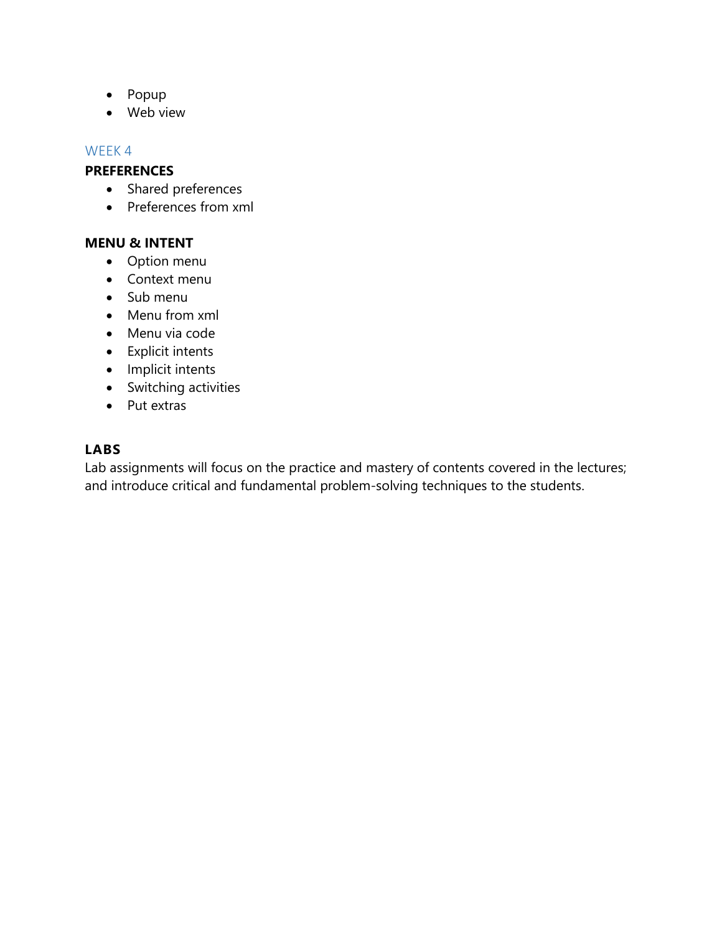- Popup
- Web view

#### WEEK 4

## **PREFERENCES**

- Shared preferences
- Preferences from xml

#### **MENU & INTENT**

- Option menu
- Context menu
- Sub menu
- Menu from xml
- Menu via code
- Explicit intents
- Implicit intents
- Switching activities
- Put extras

# **LABS**

Lab assignments will focus on the practice and mastery of contents covered in the lectures; and introduce critical and fundamental problem-solving techniques to the students.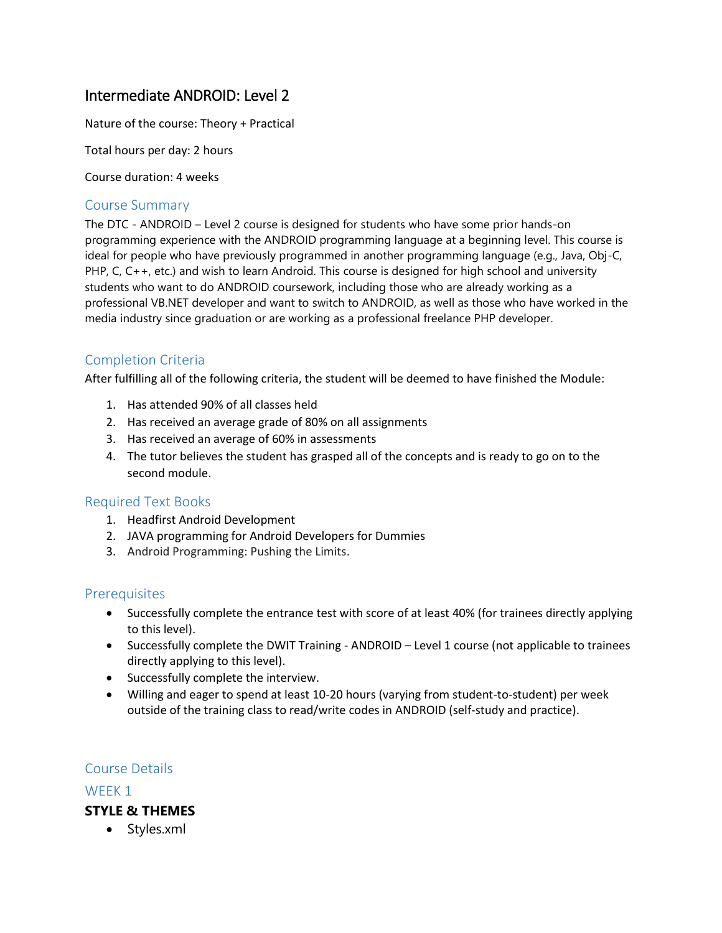# Intermediate ANDROID: Level 2

Nature of the course: Theory + Practical

Total hours per day: 2 hours

Course duration: 4 weeks

#### Course Summary

The DTC - ANDROID – Level 2 course is designed for students who have some prior hands-on programming experience with the ANDROID programming language at a beginning level. This course is ideal for people who have previously programmed in another programming language (e.g., Java, Obj-C, PHP, C, C++, etc.) and wish to learn Android. This course is designed for high school and university students who want to do ANDROID coursework, including those who are already working as a professional VB.NET developer and want to switch to ANDROID, as well as those who have worked in the media industry since graduation or are working as a professional freelance PHP developer.

# Completion Criteria

After fulfilling all of the following criteria, the student will be deemed to have finished the Module:

- 1. Has attended 90% of all classes held
- 2. Has received an average grade of 80% on all assignments
- 3. Has received an average of 60% in assessments
- 4. The tutor believes the student has grasped all of the concepts and is ready to go on to the second module.

#### Required Text Books

- 1. Headfirst Android Development
- 2. JAVA programming for Android Developers for Dummies
- 3. Android Programming: Pushing the Limits.

#### **Prerequisites**

- Successfully complete the entrance test with score of at least 40% (for trainees directly applying to this level).
- Successfully complete the DWIT Training ANDROID Level 1 course (not applicable to trainees directly applying to this level).
- Successfully complete the interview.
- Willing and eager to spend at least 10-20 hours (varying from student-to-student) per week outside of the training class to read/write codes in ANDROID (self-study and practice).

#### Course Details

#### WEEK<sub>1</sub>

#### **STYLE & THEMES**

• Styles.xml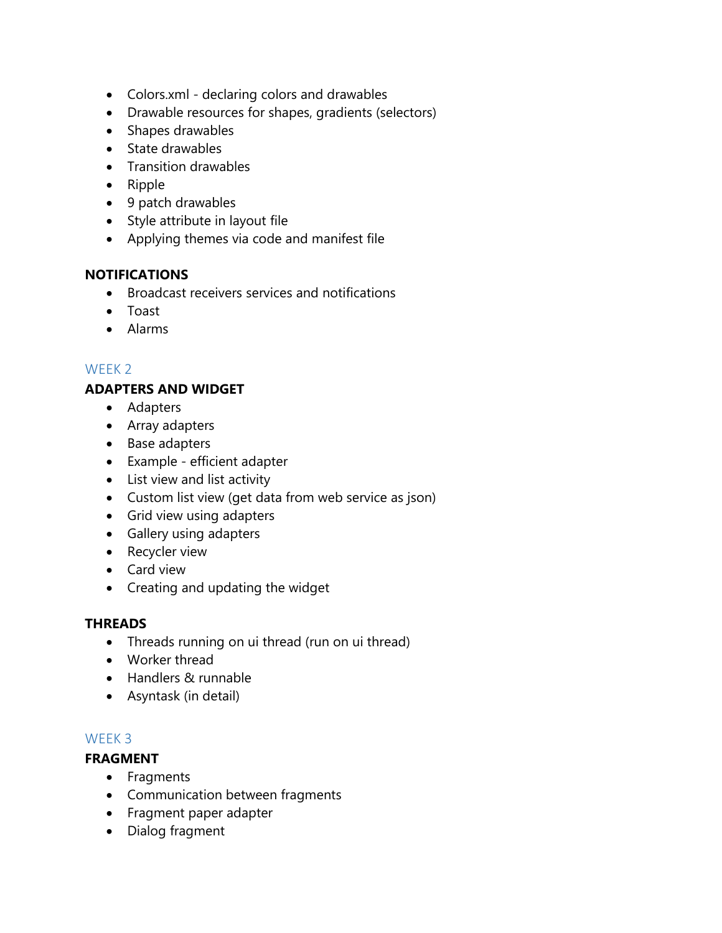- Colors.xml declaring colors and drawables
- Drawable resources for shapes, gradients (selectors)
- Shapes drawables
- State drawables
- Transition drawables
- Ripple
- 9 patch drawables
- Style attribute in layout file
- Applying themes via code and manifest file

#### **NOTIFICATIONS**

- Broadcast receivers services and notifications
- Toast
- Alarms

#### WEEK 2

# **ADAPTERS AND WIDGET**

- Adapters
- Array adapters
- Base adapters
- Example efficient adapter
- List view and list activity
- Custom list view (get data from web service as json)
- Grid view using adapters
- Gallery using adapters
- Recycler view
- Card view
- Creating and updating the widget

#### **THREADS**

- Threads running on ui thread (run on ui thread)
- Worker thread
- Handlers & runnable
- Asyntask (in detail)

#### WEEK 3

#### **FRAGMENT**

- Fragments
- Communication between fragments
- Fragment paper adapter
- Dialog fragment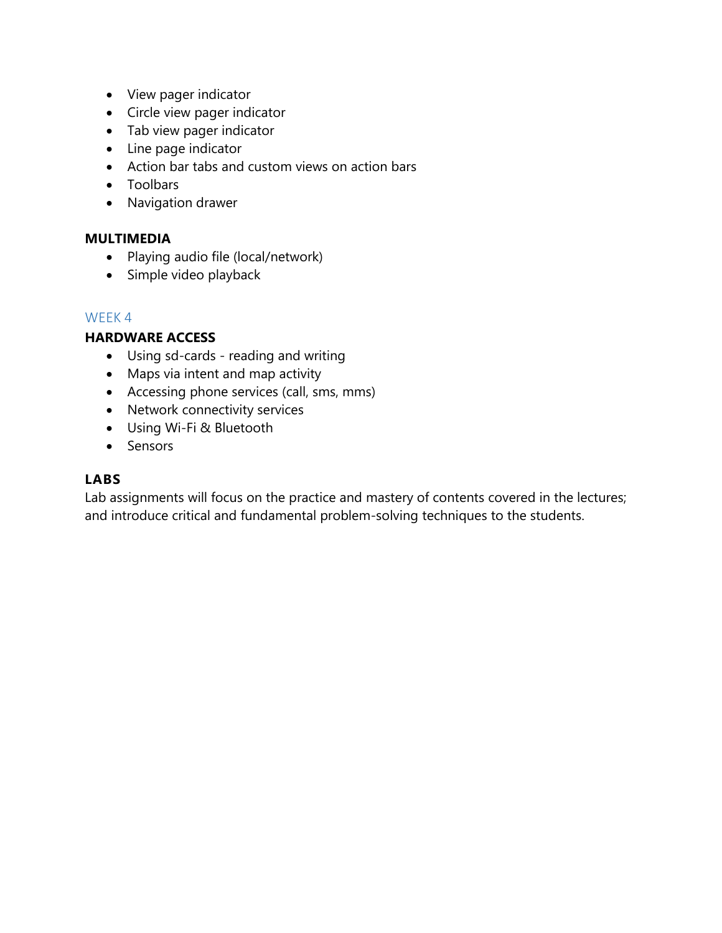- View pager indicator
- Circle view pager indicator
- Tab view pager indicator
- Line page indicator
- Action bar tabs and custom views on action bars
- Toolbars
- Navigation drawer

#### **MULTIMEDIA**

- Playing audio file (local/network)
- Simple video playback

#### WEEK 4

# **HARDWARE ACCESS**

- Using sd-cards reading and writing
- Maps via intent and map activity
- Accessing phone services (call, sms, mms)
- Network connectivity services
- Using Wi-Fi & Bluetooth
- Sensors

#### **LABS**

Lab assignments will focus on the practice and mastery of contents covered in the lectures; and introduce critical and fundamental problem-solving techniques to the students.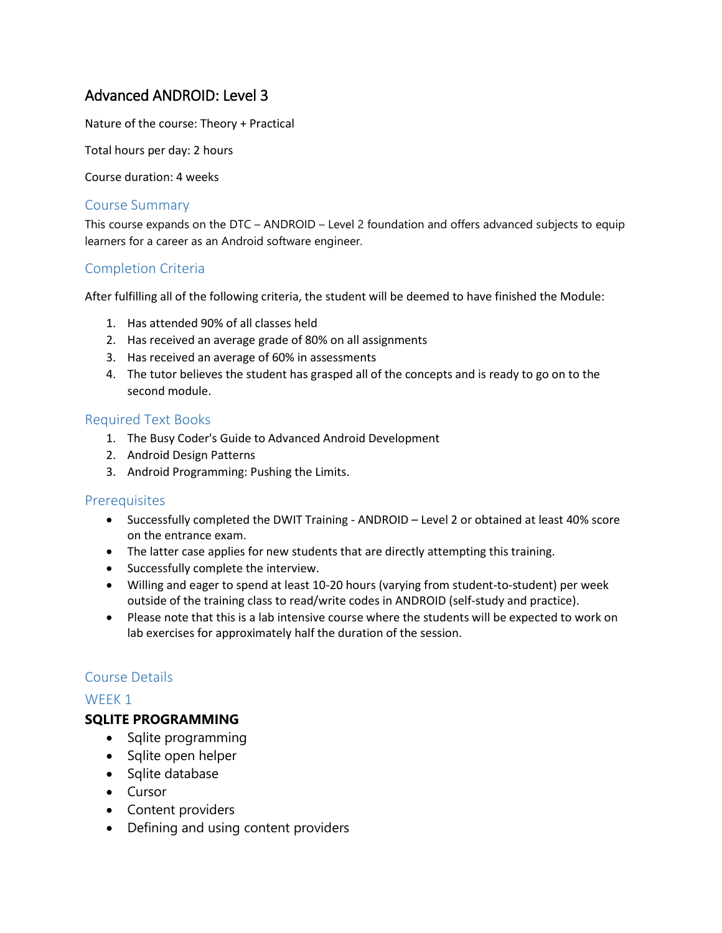# Advanced ANDROID: Level 3

Nature of the course: Theory + Practical

Total hours per day: 2 hours

Course duration: 4 weeks

#### Course Summary

This course expands on the DTC – ANDROID – Level 2 foundation and offers advanced subjects to equip learners for a career as an Android software engineer.

#### Completion Criteria

After fulfilling all of the following criteria, the student will be deemed to have finished the Module:

- 1. Has attended 90% of all classes held
- 2. Has received an average grade of 80% on all assignments
- 3. Has received an average of 60% in assessments
- 4. The tutor believes the student has grasped all of the concepts and is ready to go on to the second module.

#### Required Text Books

- 1. The Busy Coder's Guide to Advanced Android Development
- 2. Android Design Patterns
- 3. Android Programming: Pushing the Limits.

#### **Prerequisites**

- Successfully completed the DWIT Training ANDROID Level 2 or obtained at least 40% score on the entrance exam.
- The latter case applies for new students that are directly attempting this training.
- Successfully complete the interview.
- Willing and eager to spend at least 10-20 hours (varying from student-to-student) per week outside of the training class to read/write codes in ANDROID (self-study and practice).
- Please note that this is a lab intensive course where the students will be expected to work on lab exercises for approximately half the duration of the session.

#### Course Details

#### WEEK 1

#### **SQLITE PROGRAMMING**

- Sqlite programming
- Sqlite open helper
- Sqlite database
- Cursor
- Content providers
- Defining and using content providers